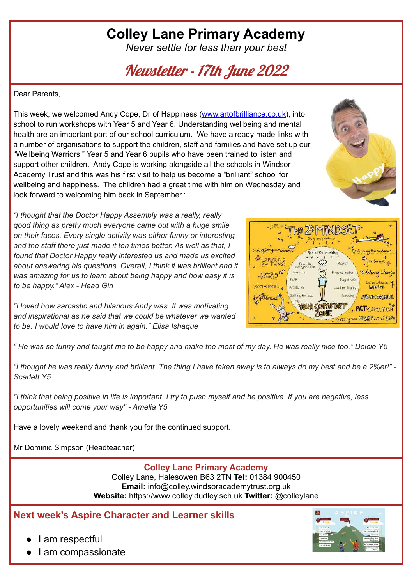# **Colley Lane Primary Academy**

*Never settle for less than your best*

Newsletter - 17th June 2022

Dear Parents,

This week, we welcomed Andy Cope, Dr of Happiness ([www.artofbrilliance.co.uk\)](http://www.artofbrilliance.co.uk), into school to run workshops with Year 5 and Year 6. Understanding wellbeing and mental health are an important part of our school curriculum. We have already made links with a number of organisations to support the children, staff and families and have set up our "Wellbeing Warriors," Year 5 and Year 6 pupils who have been trained to listen and support other children. Andy Cope is working alongside all the schools in Windsor Academy Trust and this was his first visit to help us become a "brilliant" school for wellbeing and happiness. The children had a great time with him on Wednesday and look forward to welcoming him back in September.:

*"I thought that the Doctor Happy Assembly was a really, really good thing as pretty much everyone came out with a huge smile on their faces. Every single activity was either funny or interesting and the staff there just made it ten times better. As well as that, I found that Doctor Happy really interested us and made us excited about answering his questions. Overall, I think it was brilliant and it was amazing for us to learn about being happy and how easy it is to be happy." Alex - Head Girl*

*"I loved how sarcastic and hilarious Andy was. It was motivating and inspirational as he said that we could be whatever we wanted to be. I would love to have him in again." Elisa Ishaque*

" He was so funny and taught me to be happy and make the most of my day. He was really nice too." Dolcie Y5

"I thought he was really funny and brilliant. The thing I have taken away is to always do my best and be a 2%er!" -*Scarlett Y5*

"I think that being positive in life is important. I try to push myself and be positive. If you are negative, less *opportunities will come your way" - Amelia Y5*

Have a lovely weekend and thank you for the continued support.

Mr Dominic Simpson (Headteacher)

#### **Colley Lane Primary Academy**

Colley Lane, Halesowen B63 2TN **Tel:** 01384 900450 **Email:** info@colley.windsoracademytrust.org.uk **Website:** https://www.colley.dudley.sch.uk **Twitter:** @colleylane

**Next week's Aspire Character and Learner skills**

I am respectful

I am compassionate





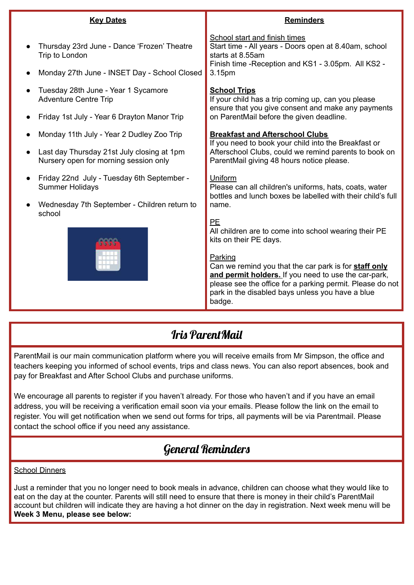| <b>Key Dates</b>                                                                                                                 | <b>Reminders</b>                                                                                                                                                                                                                                                                                                                             |
|----------------------------------------------------------------------------------------------------------------------------------|----------------------------------------------------------------------------------------------------------------------------------------------------------------------------------------------------------------------------------------------------------------------------------------------------------------------------------------------|
| Thursday 23rd June - Dance 'Frozen' Theatre<br>Trip to London<br>Monday 27th June - INSET Day - School Closed                    | School start and finish times<br>Start time - All years - Doors open at 8.40am, school<br>starts at 8.55am<br>Finish time - Reception and KS1 - 3.05pm. All KS2 -<br>3.15pm                                                                                                                                                                  |
| Tuesday 28th June - Year 1 Sycamore<br><b>Adventure Centre Trip</b><br>Friday 1st July - Year 6 Drayton Manor Trip               | <b>School Trips</b><br>If your child has a trip coming up, can you please<br>ensure that you give consent and make any payments<br>on ParentMail before the given deadline.                                                                                                                                                                  |
| Monday 11th July - Year 2 Dudley Zoo Trip<br>Last day Thursday 21st July closing at 1pm<br>Nursery open for morning session only | <b>Breakfast and Afterschool Clubs</b><br>If you need to book your child into the Breakfast or<br>Afterschool Clubs, could we remind parents to book on<br>ParentMail giving 48 hours notice please.                                                                                                                                         |
| Friday 22nd July - Tuesday 6th September -<br><b>Summer Holidays</b><br>Wednesday 7th September - Children return to<br>school   | Uniform<br>Please can all children's uniforms, hats, coats, water<br>bottles and lunch boxes be labelled with their child's full<br>name.                                                                                                                                                                                                    |
|                                                                                                                                  | PE<br>All children are to come into school wearing their PE<br>kits on their PE days.<br>Parking<br>Can we remind you that the car park is for staff only<br>and permit holders. If you need to use the car-park,<br>please see the office for a parking permit. Please do not<br>park in the disabled bays unless you have a blue<br>badge. |

### Iris ParentMail

ParentMail is our main communication platform where you will receive emails from Mr Simpson, the office and teachers keeping you informed of school events, trips and class news. You can also report absences, book and pay for Breakfast and After School Clubs and purchase uniforms.

We encourage all parents to register if you haven't already. For those who haven't and if you have an email address, you will be receiving a verification email soon via your emails. Please follow the link on the email to register. You will get notification when we send out forms for trips, all payments will be via Parentmail. Please contact the school office if you need any assistance.

### General Reminders

School Dinners

Just a reminder that you no longer need to book meals in advance, children can choose what they would like to eat on the day at the counter. Parents will still need to ensure that there is money in their child's ParentMail account but children will indicate they are having a hot dinner on the day in registration. Next week menu will be **Week 3 Menu, please see below:**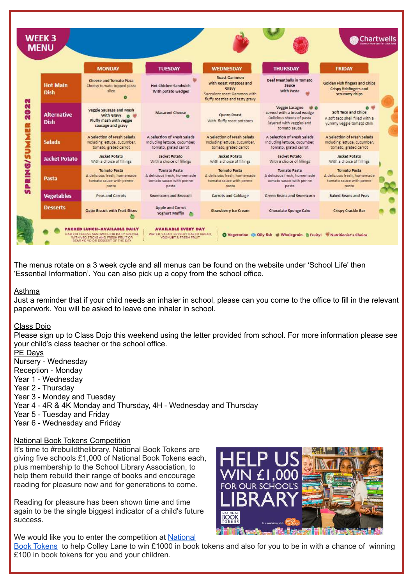|                                   | <b>MONDAY</b>                                                                                  | <b>TUESDAY</b>                                                                         | <b>WEDNESDAY</b>                                                                                                          | <b>THURSDAY</b>                                                                                                                                   | <b>FRIDAY</b>                                                                          |
|-----------------------------------|------------------------------------------------------------------------------------------------|----------------------------------------------------------------------------------------|---------------------------------------------------------------------------------------------------------------------------|---------------------------------------------------------------------------------------------------------------------------------------------------|----------------------------------------------------------------------------------------|
| <b>Hot Main</b><br><b>Dish</b>    | Cheese and Tomato Pizza<br>Cheesy tomato topped pizza<br>slice                                 | Hot Chicken Sandwich<br>With potato wedges                                             | <b>Roast Gammon</b><br>with Roast Potatoes and<br>Gravy<br>Succulent roast Gammon with<br>fluffy roasties and tasty gravy | Beef Meathalls in Tomato<br>Sauce<br>With Pasta                                                                                                   | Golden Fish fingers and Chips<br>Crispy fishfingers and<br>scrummy chips               |
| <b>Alternative</b><br><b>Dish</b> | <b>Veggie Sausage and Mash</b><br>With Gravy 6<br>Fluffy mash with veggie<br>sausage and gravy | Macaroni Cheese                                                                        | Quorn Roast<br>With fluffy roast potatoes                                                                                 | Veggie Lasagne<br>$\mathbf{w}$ $\mathbf{o}$<br>served with a bread wedge<br>Delicious sheets of pasta<br>layered with veggies and<br>tomato sauce | Soft Taco and Chips<br>A soft taco shell filled with a<br>yummy veggie tomato chilli   |
| <b>Salads</b>                     | A Selection of Fresh Salads<br>Including lettuce, cucumber,<br>tomato, grated carrot           | A Selection of Fresh Salads<br>Including lettuce, cucumber,<br>tomato, grated carrot   | A Selection of Fresh Salads<br>Including lettuce, cucumber,<br>tomato, grated carrot                                      | A Selection of Fresh Salads<br>Including lettuce, cucumber,<br>tomato, grated carrot                                                              | A Selection of Fresh Salads<br>including lettuce, cucumber,<br>tomato, grated carrot   |
| <b>Jacket Potato</b>              | Jacket Potato<br>With a choice of fillings                                                     | Jacket Potato<br>With a choice of fillings                                             | Jacket Potato<br>With a choice of fillings                                                                                | Jacket Potato<br>With a choice of fillings                                                                                                        | Jacket Potato<br>With a choice of fillings                                             |
| Pasta                             | <b>Tomato Pasta</b><br>A delicious fresh, homemade<br>tomato sauce with penne<br>pasta         | <b>Tomato Pasta</b><br>A delicious fresh, homemade<br>tomato sauce with penne<br>pasta | <b>Tomato Pasta</b><br>A delicious fresh, homemade<br>tomato sauce with penne<br>pasta                                    | Tomato Pasta<br>A delicious fresh, homemade<br>tomato sauce with penne<br>pasta                                                                   | <b>Tomato Pasta</b><br>A delicious fresh, homemade<br>tomato sauce with penne<br>pasta |
| <b>Vegetables</b>                 | Peas and Carrots                                                                               | Sweetcorn and Broccoli                                                                 | Carrots and Cabbage                                                                                                       | Green Beans and Sweetcorn                                                                                                                         | <b>Baked Beans and Peas</b>                                                            |
| <b>Desserts</b>                   | Oatie Biscuit with Fruit Slices                                                                | Apple and Carrot<br>Yoghurt Muffin                                                     | Strawberry Ice Cream                                                                                                      | Chocolate Sponge Cake                                                                                                                             | Crispy Crackle Bar                                                                     |

The menus rotate on a 3 week cycle and all menus can be found on the website under 'School Life' then 'Essential Information'. You can also pick up a copy from the school office.

#### Asthma

Just a reminder that if your child needs an inhaler in school, please can you come to the office to fill in the relevant paperwork. You will be asked to leave one inhaler in school.

#### Class Dojo

Please sign up to Class Dojo this weekend using the letter provided from school. For more information please see your child's class teacher or the school office.

PE Days

Nursery - Wednesday

Reception - Monday

Year 1 - Wednesday

Year 2 - Thursday

- Year 3 Monday and Tuesday
- Year 4 4R & 4K Monday and Thursday, 4H Wednesday and Thursday

Year 5 - Tuesday and Friday

Year 6 - Wednesday and Friday

#### National Book Tokens Competition

It's time to #rebuildthelibrary. National Book Tokens are giving five schools £1,000 of National Book Tokens each, plus membership to the School Library Association, to help them rebuild their range of books and encourage reading for pleasure now and for generations to come.

Reading for pleasure has been shown time and time again to be the single biggest indicator of a child's future success.

We would like you to enter the competition at [National](https://www.nationalbooktokens.com/schools?utm_source=nbt&utm_medium=email&utm_content=nominate-your-school&utm_campaign=20220607_schools)



Book [Tokens](https://www.nationalbooktokens.com/schools?utm_source=nbt&utm_medium=email&utm_content=nominate-your-school&utm_campaign=20220607_schools) to help Colley Lane to win £1000 in book tokens and also for you to be in with a chance of winning £100 in book tokens for you and your children.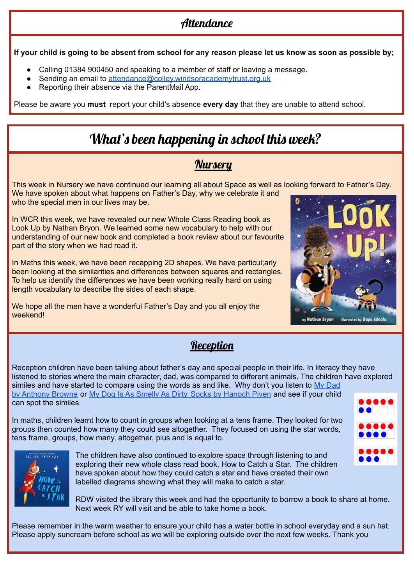## **Attendance**

If your child is going to be absent from school for any reason please let us know as soon as possible by:

- Calling 01384 900450 and speaking to a member of staff or leaving a message.
- Sending an email to [attendance@colley.windsoracademytrust.org.uk](mailto:attendance@colley.windsoracademytrust.org.uk)
- Reporting their absence via the ParentMail App.

Please be aware you **must** report your child's absence **every day** that they are unable to attend school.

## What's been happening in school this week?

### **Nurseru**

This week in Nursery we have continued our learning all about Space as well as looking forward to Father's Day. We have spoken about what happens on Father's Day, why we celebrate it and who the special men in our lives may be.

In WCR this week, we have revealed our new Whole Class Reading book as Look Up by Nathan Bryon. We learned some new vocabulary to help with our understanding of our new book and completed a book review about our favourite part of the story when we had read it.

In Maths this week, we have been recapping 2D shapes. We have particul;arly been looking at the similarities and differences between squares and rectangles. To help us identify the differences we have been working really hard on using length vocabulary to describe the sides of each shape.

We hope all the men have a wonderful Father's Day and you all enjoy the weekend!



### **Reception**

Reception children have been talking about father's day and special people in their life. In literacy they have listened to stories where the main character, dad, was compared to different animals. The children have explored similes and have started to compare using the words as and like. Why don't you listen to  $My$  [Dad](https://www.youtube.com/watch?v=0OqJDqA9RjU) by [Anthony](https://www.youtube.com/watch?v=0OqJDqA9RjU) Browne or My Dog Is As Smelly As Dirty Socks by [Hanoch](https://www.youtube.com/watch?v=e1mn72Rk_j0) Piven and see if your child can spot the similes.

In maths, children learnt how to count in groups when looking at a tens frame. They looked for two groups then counted how many they could see altogether. They focused on using the star words, tens frame, groups, how many, altogether, plus and is equal to.



The children have also continued to explore space through listening to and exploring their new whole class read book, How to Catch a Star. The children have spoken about how they could catch a star and have created their own labelled diagrams showing what they will make to catch a star.

RDW visited the library this week and had the opportunity to borrow a book to share at home. Next week RY will visit and be able to take home a book.

Please remember in the warm weather to ensure your child has a water bottle in school everyday and a sun hat. Please apply suncream before school as we will be exploring outside over the next few weeks. Thank you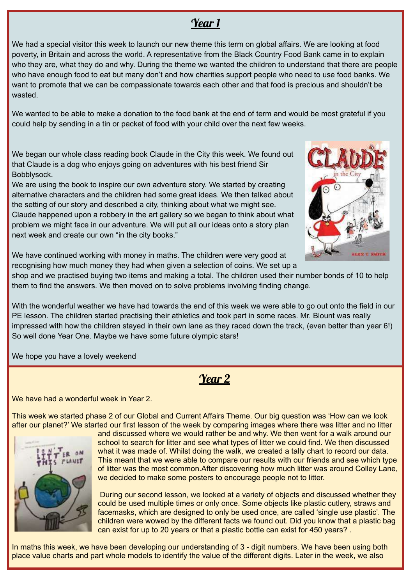## Year 1

We had a special visitor this week to launch our new theme this term on global affairs. We are looking at food poverty, in Britain and across the world. A representative from the Black Country Food Bank came in to explain who they are, what they do and why. During the theme we wanted the children to understand that there are people who have enough food to eat but many don't and how charities support people who need to use food banks. We want to promote that we can be compassionate towards each other and that food is precious and shouldn't be wasted.

We wanted to be able to make a donation to the food bank at the end of term and would be most grateful if you could help by sending in a tin or packet of food with your child over the next few weeks.

We began our whole class reading book Claude in the City this week. We found out that Claude is a dog who enjoys going on adventures with his best friend Sir Bobblysock.

We are using the book to inspire our own adventure story. We started by creating alternative characters and the children had some great ideas. We then talked about the setting of our story and described a city, thinking about what we might see. Claude happened upon a robbery in the art gallery so we began to think about what problem we might face in our adventure. We will put all our ideas onto a story plan next week and create our own "in the city books."



We have continued working with money in maths. The children were very good at recognising how much money they had when given a selection of coins. We set up a

shop and we practised buying two items and making a total. The children used their number bonds of 10 to help them to find the answers. We then moved on to solve problems involving finding change.

With the wonderful weather we have had towards the end of this week we were able to go out onto the field in our PE lesson. The children started practising their athletics and took part in some races. Mr. Blount was really impressed with how the children stayed in their own lane as they raced down the track, (even better than year 6!) So well done Year One. Maybe we have some future olympic stars!

We hope you have a lovely weekend

Year 2

We have had a wonderful week in Year 2.

This week we started phase 2 of our Global and Current Affairs Theme. Our big question was 'How can we look after our planet?' We started our first lesson of the week by comparing images where there was litter and no litter



and discussed where we would rather be and why. We then went for a walk around our school to search for litter and see what types of litter we could find. We then discussed what it was made of. Whilst doing the walk, we created a tally chart to record our data. This meant that we were able to compare our results with our friends and see which type of litter was the most common.After discovering how much litter was around Colley Lane, we decided to make some posters to encourage people not to litter.

During our second lesson, we looked at a variety of objects and discussed whether they could be used multiple times or only once. Some objects like plastic cutlery, straws and facemasks, which are designed to only be used once, are called 'single use plastic'. The children were wowed by the different facts we found out. Did you know that a plastic bag can exist for up to 20 years or that a plastic bottle can exist for 450 years? .

In maths this week, we have been developing our understanding of 3 - digit numbers. We have been using both place value charts and part whole models to identify the value of the different digits. Later in the week, we also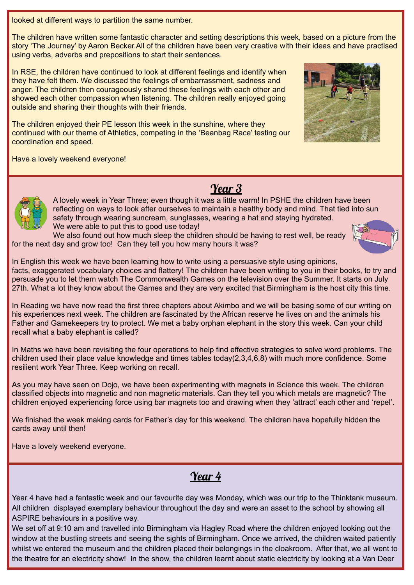looked at different ways to partition the same number.

The children have written some fantastic character and setting descriptions this week, based on a picture from the story 'The Journey' by Aaron Becker.All of the children have been very creative with their ideas and have practised using verbs, adverbs and prepositions to start their sentences.

In RSE, the children have continued to look at different feelings and identify when they have felt them. We discussed the feelings of embarrassment, sadness and anger. The children then courageously shared these feelings with each other and showed each other compassion when listening. The children really enjoyed going outside and sharing their thoughts with their friends.

The children enjoyed their PE lesson this week in the sunshine, where they continued with our theme of Athletics, competing in the 'Beanbag Race' testing our coordination and speed.



Have a lovely weekend everyone!





A lovely week in Year Three; even though it was a little warm! In PSHE the children have been reflecting on ways to look after ourselves to maintain a healthy body and mind. That tied into sun safety through wearing suncream, sunglasses, wearing a hat and staying hydrated. We were able to put this to good use today!

We also found out how much sleep the children should be having to rest well, be ready for the next day and grow too! Can they tell you how many hours it was?



In English this week we have been learning how to write using a persuasive style using opinions, facts, exaggerated vocabulary choices and flattery! The children have been writing to you in their books, to try and persuade you to let them watch The Commonwealth Games on the television over the Summer. It starts on July 27th. What a lot they know about the Games and they are very excited that Birmingham is the host city this time.

In Reading we have now read the first three chapters about Akimbo and we will be basing some of our writing on his experiences next week. The children are fascinated by the African reserve he lives on and the animals his Father and Gamekeepers try to protect. We met a baby orphan elephant in the story this week. Can your child recall what a baby elephant is called?

In Maths we have been revisiting the four operations to help find effective strategies to solve word problems. The children used their place value knowledge and times tables today(2,3,4,6,8) with much more confidence. Some resilient work Year Three. Keep working on recall.

As you may have seen on Dojo, we have been experimenting with magnets in Science this week. The children classified objects into magnetic and non magnetic materials. Can they tell you which metals are magnetic? The children enjoyed experiencing force using bar magnets too and drawing when they 'attract' each other and 'repel'.

We finished the week making cards for Father's day for this weekend. The children have hopefully hidden the cards away until then!

Have a lovely weekend everyone.

Year 4

Year 4 have had a fantastic week and our favourite day was Monday, which was our trip to the Thinktank museum. All children displayed exemplary behaviour throughout the day and were an asset to the school by showing all ASPIRE behaviours in a positive way.

We set off at 9:10 am and travelled into Birmingham via Hagley Road where the children enjoyed looking out the window at the bustling streets and seeing the sights of Birmingham. Once we arrived, the children waited patiently whilst we entered the museum and the children placed their belongings in the cloakroom. After that, we all went to the theatre for an electricity show! In the show, the children learnt about static electricity by looking at a Van Deer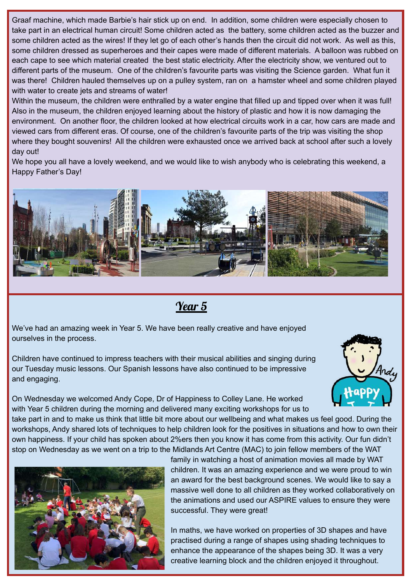Graaf machine, which made Barbie's hair stick up on end. In addition, some children were especially chosen to take part in an electrical human circuit! Some children acted as the battery, some children acted as the buzzer and some children acted as the wires! If they let go of each other's hands then the circuit did not work. As well as this, some children dressed as superheroes and their capes were made of different materials. A balloon was rubbed on each cape to see which material created the best static electricity. After the electricity show, we ventured out to different parts of the museum. One of the children's favourite parts was visiting the Science garden. What fun it was there! Children hauled themselves up on a pulley system, ran on a hamster wheel and some children played with water to create jets and streams of water!

Within the museum, the children were enthralled by a water engine that filled up and tipped over when it was full! Also in the museum, the children enjoyed learning about the history of plastic and how it is now damaging the environment. On another floor, the children looked at how electrical circuits work in a car, how cars are made and viewed cars from different eras. Of course, one of the children's favourite parts of the trip was visiting the shop where they bought souvenirs! All the children were exhausted once we arrived back at school after such a lovely day out!

We hope you all have a lovely weekend, and we would like to wish anybody who is celebrating this weekend, a Happy Father's Day!



Year 5

We've had an amazing week in Year 5. We have been really creative and have enjoyed ourselves in the process.

Children have continued to impress teachers with their musical abilities and singing during our Tuesday music lessons. Our Spanish lessons have also continued to be impressive and engaging.



On Wednesday we welcomed Andy Cope, Dr of Happiness to Colley Lane. He worked with Year 5 children during the morning and delivered many exciting workshops for us to

take part in and to make us think that little bit more about our wellbeing and what makes us feel good. During the workshops, Andy shared lots of techniques to help children look for the positives in situations and how to own their own happiness. If your child has spoken about 2%ers then you know it has come from this activity. Our fun didn't stop on Wednesday as we went on a trip to the Midlands Art Centre (MAC) to join fellow members of the WAT



family in watching a host of animation movies all made by WAT children. It was an amazing experience and we were proud to win an award for the best background scenes. We would like to say a massive well done to all children as they worked collaboratively on the animations and used our ASPIRE values to ensure they were successful. They were great!

In maths, we have worked on properties of 3D shapes and have practised during a range of shapes using shading techniques to enhance the appearance of the shapes being 3D. It was a very creative learning block and the children enjoyed it throughout.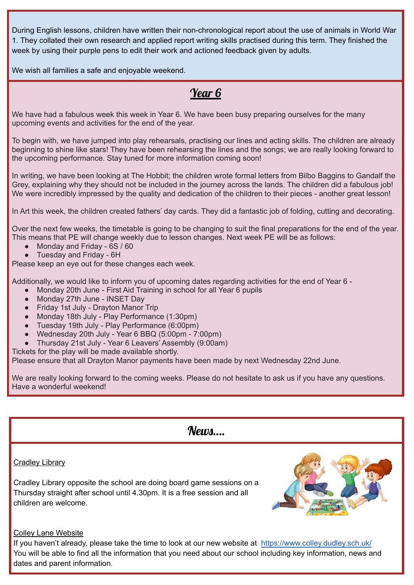During English lessons, children have written their non-chronological report about the use of animals in World War 1. They collated their own research and applied report writing skills practised during this term. They finished the week by using their purple pens to edit their work and actioned feedback given by adults.

We wish all families a safe and enjoyable weekend.

## Year 6

We have had a fabulous week this week in Year 6. We have been busy preparing ourselves for the many upcoming events and activities for the end of the year.

To begin with, we have jumped into play rehearsals, practising our lines and acting skills. The children are already beginning to shine like stars! They have been rehearsing the lines and the songs; we are really looking forward to the upcoming performance. Stay tuned for more information coming soon!

In writing, we have been looking at The Hobbit; the children wrote formal letters from Bilbo Baggins to Gandalf the Grey, explaining why they should not be included in the journey across the lands. The children did a fabulous job! We were incredibly impressed by the quality and dedication of the children to their pieces - another great lesson!

In Art this week, the children created fathers' day cards. They did a fantastic job of folding, cutting and decorating.

Over the next few weeks, the timetable is going to be changing to suit the final preparations for the end of the year. This means that PE will change weekly due to lesson changes. Next week PE will be as follows:

- Monday and Friday 6S / 60
- Tuesday and Friday 6H

Please keep an eye out for these changes each week.

Additionally, we would like to inform you of upcoming dates regarding activities for the end of Year 6 -

- Monday 20th June First Aid Training in school for all Year 6 pupils
- Monday 27th June INSET Day
- Friday 1st July Drayton Manor Trip
- Monday 18th July Play Performance (1:30pm)
- Tuesday 19th July Play Performance (6:00pm)
- Wednesday 20th July Year 6 BBQ (5:00pm 7:00pm)
- Thursday 21st July Year 6 Leavers' Assembly (9:00am)

Tickets for the play will be made available shortly.

Please ensure that all Drayton Manor payments have been made by next Wednesday 22nd June.

We are really looking forward to the coming weeks. Please do not hesitate to ask us if you have any questions. Have a wonderful weekend!

### $N$ *eum*

#### **Cradley Library**

Cradley Library opposite the school are doing board game sessions on a Thursday straight after school until 4.30pm. It is a free session and all children are welcome.



#### Colley Lane Website

If you haven't already, please take the time to look at our new website at <https://www.colley.dudley.sch.uk/> You will be able to find all the information that you need about our school including key information, news and dates and parent information.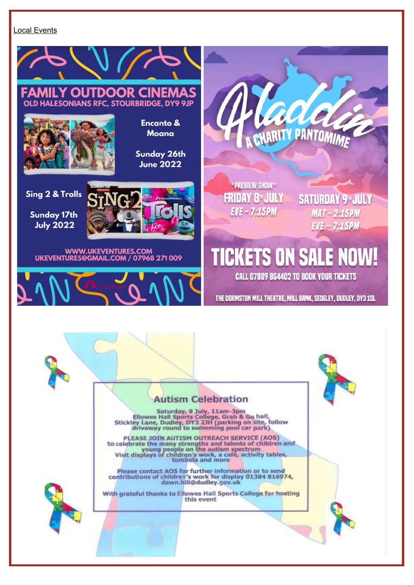#### Local Events

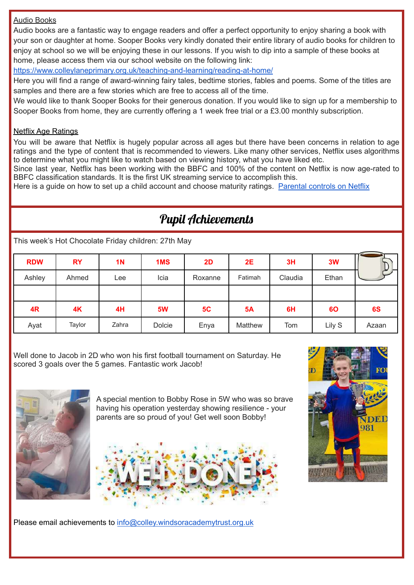#### Audio Books

Audio books are a fantastic way to engage readers and offer a perfect opportunity to enjoy sharing a book with your son or daughter at home. Sooper Books very kindly donated their entire library of audio books for children to enjoy at school so we will be enjoying these in our lessons. If you wish to dip into a sample of these books at home, please access them via our school website on the following link:

<https://www.colleylaneprimary.org.uk/teaching-and-learning/reading-at-home/>

Here you will find a range of award-winning fairy tales, bedtime stories, fables and poems. Some of the titles are samples and there are a few stories which are free to access all of the time.

We would like to thank Sooper Books for their generous donation. If you would like to sign up for a membership to Sooper Books from home, they are currently offering a 1 week free trial or a £3.00 monthly subscription.

#### Netflix Age Ratings

You will be aware that Netflix is hugely popular across all ages but there have been concerns in relation to age ratings and the type of content that is recommended to viewers. Like many other services, Netflix uses algorithms to determine what you might like to watch based on viewing history, what you have liked etc.

Since last year, Netflix has been working with the BBFC and 100% of the content on Netflix is now age-rated to BBFC classification standards. It is the first UK streaming service to accomplish this.

Here is a guide on how to set up a child account and choose maturity ratings. [Parental](https://help.netflix.com/en/node/264) controls on Netflix

# Pupil Achievements

This week's Hot Chocolate Friday children: 27th May

| <b>RDW</b> | <b>RY</b> | <b>1N</b> | 1MS       | <b>2D</b> | 2E        | 3H      | 3W     | ሥ     |
|------------|-----------|-----------|-----------|-----------|-----------|---------|--------|-------|
| Ashley     | Ahmed     | Lee       | Icia      | Roxanne   | Fatimah   | Claudia | Ethan  |       |
|            |           |           |           |           |           |         |        |       |
| 4R         | 4K        | 4H        | <b>5W</b> | 5C        | <b>5A</b> | 6H      | 60     | 6S    |
| Ayat       | Taylor    | Zahra     | Dolcie    | Enya      | Matthew   | Tom     | Lily S | Azaan |

Well done to Jacob in 2D who won his first football tournament on Saturday. He scored 3 goals over the 5 games. Fantastic work Jacob!



A special mention to Bobby Rose in 5W who was so brave having his operation yesterday showing resilience - your parents are so proud of you! Get well soon Bobby!





Please email achievements to [info@colley.windsoracademytrust.org.uk](mailto:info@colley.windsoracademytrust.org.uk)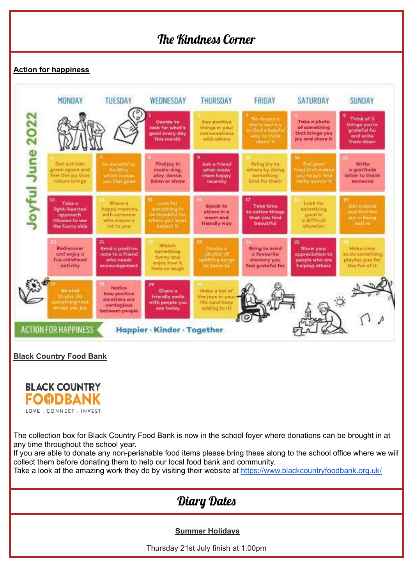## The Kindness Corner

#### **Action for happiness**



#### **Black Country Food Bank**



The collection box for Black Country Food Bank is now in the school foyer where donations can be brought in at any time throughout the school year.

If you are able to donate any non-perishable food items please bring these along to the school office where we will collect them before donating them to help our local food bank and community.

Take a look at the amazing work they do by visiting their website at <https://www.blackcountryfoodbank.org.uk/>

# Diary Dates

#### **Summer Holidays**

Thursday 21st July finish at 1.00pm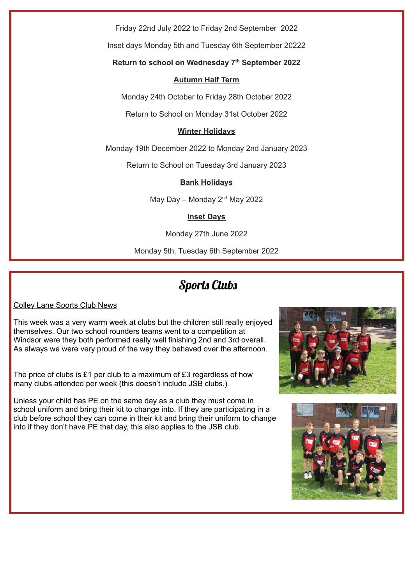Friday 22nd July 2022 to Friday 2nd September 2022

Inset days Monday 5th and Tuesday 6th September 20222

#### **Return to school on Wednesday 7 th September 2022**

#### **Autumn Half Term**

Monday 24th October to Friday 28th October 2022

Return to School on Monday 31st October 2022

#### **Winter Holidays**

Monday 19th December 2022 to Monday 2nd January 2023

Return to School on Tuesday 3rd January 2023

#### **Bank Holidays**

May Day – Monday  $2<sup>nd</sup>$  May 2022

#### **Inset Days**

Monday 27th June 2022

Monday 5th, Tuesday 6th September 2022

### Sports Clubs

#### Colley Lane Sports Club News

This week was a very warm week at clubs but the children still really enjoyed themselves. Our two school rounders teams went to a competition at Windsor were they both performed really well finishing 2nd and 3rd overall. As always we were very proud of the way they behaved over the afternoon.

The price of clubs is £1 per club to a maximum of  $£3$  regardless of how many clubs attended per week (this doesn't include JSB clubs.)

Unless your child has PE on the same day as a club they must come in school uniform and bring their kit to change into. If they are participating in a club before school they can come in their kit and bring their uniform to change into if they don't have PE that day, this also applies to the JSB club.



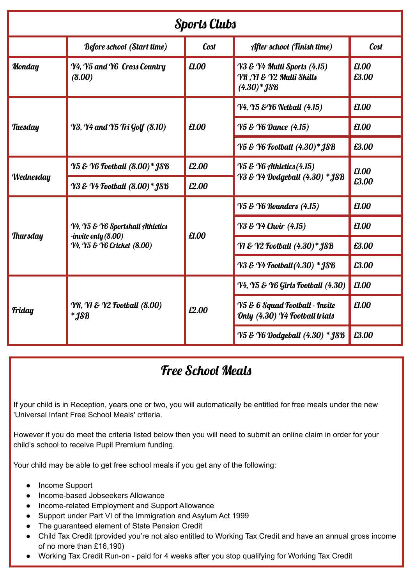| <b>Sports Clubs</b> |                                                                                         |             |                                                                             |                |  |  |  |  |
|---------------------|-----------------------------------------------------------------------------------------|-------------|-----------------------------------------------------------------------------|----------------|--|--|--|--|
|                     | <b>Before school (Start time)</b>                                                       | <b>Cost</b> | After school (Finish time)                                                  | <b>Cost</b>    |  |  |  |  |
| <b>Monday</b>       | Y4, Y5 and Y6 Cross Country<br>(8.00)                                                   | £1.00       | Y3 & Y4 Multi Sports (4.15)<br>YR, YI & Y2 Multi Skills<br>$(4.30)$ * $18B$ | £1.00<br>£3.00 |  |  |  |  |
|                     |                                                                                         | £1.00       | <b>Y4, Y5 &amp; Y6 Netball (4.15)</b>                                       | £1.00          |  |  |  |  |
| Tuesday             | Y3, Y4 and Y5 Tri Golf (8.10)                                                           |             | Y5 & Y6 Dance (4.15)                                                        | £1.00          |  |  |  |  |
|                     |                                                                                         |             | <b>Y5 &amp; Y6 Football (4.30)* JSB</b>                                     | £3.00          |  |  |  |  |
|                     | Y5 & Y6 Football (8.00)* JSB                                                            | £2.00       | $\gamma$ 5 & $\gamma$ 6 Athletics (4.15)                                    | £1.00<br>£3.00 |  |  |  |  |
| <b>Wednesday</b>    | <b>Y3 &amp; Y4 Football (8.00)* JSB</b>                                                 | £2.00       | Y3 & Y4 Dodgeball (4.30) * JSB                                              |                |  |  |  |  |
|                     |                                                                                         | £1.00       | <b>Y5 &amp; Y6 Rounders (4.15)</b>                                          | £1.00          |  |  |  |  |
| <b>Thursday</b>     | Y4, Y5 & Y6 Sportshall Athletics<br>-invite only $(8.00)$<br>Y4, Y5 & Y6 Cricket (8.00) |             | <b>Y3 &amp; Y4 Choir</b> (4.15)                                             | £1.00          |  |  |  |  |
|                     |                                                                                         |             | Y1 & Y2 Football (4.30)* JSB                                                | £3.00          |  |  |  |  |
|                     |                                                                                         |             | <b>Y3 &amp; Y4 Football (4.30) * JSB</b>                                    | £3.00          |  |  |  |  |
|                     |                                                                                         | £2.00       | <b>Y4, Y5 &amp; Y6 Girls Football (4.30)</b>                                | £1.00          |  |  |  |  |
| <b>Friday</b>       | <b>YR, YI &amp; Y2 Football (8.00)</b><br>$*$ <i>JSB</i>                                |             | <b>Y5 &amp; 6 Squad Football - Invite</b><br>Only (4.30) Y4 Football trials | £1.00          |  |  |  |  |
|                     |                                                                                         |             | Y5 & Y6 Dodgeball (4.30) * JSB                                              | £3.00          |  |  |  |  |

# Free School Meals

If your child is in Reception, years one or two, you will automatically be entitled for free meals under the new 'Universal Infant Free School Meals' criteria.

However if you do meet the criteria listed below then you will need to submit an online claim in order for your child's school to receive Pupil Premium funding.

Your child may be able to get free school meals if you get any of the following:

- Income Support
- Income-based Jobseekers Allowance
- Income-related Employment and Support Allowance
- Support under Part VI of the Immigration and Asylum Act 1999
- The guaranteed element of State Pension Credit
- Child Tax Credit (provided you're not also entitled to Working Tax Credit and have an annual gross income of no more than £16,190)
- Working Tax Credit Run-on paid for 4 weeks after you stop qualifying for Working Tax Credit